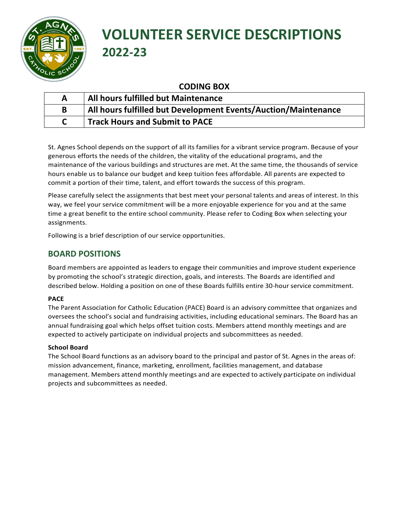

# **VOLUNTEER SERVICE DESCRIPTIONS 2022-23**

# **CODING BOX**

| All hours fulfilled but Maintenance                            |
|----------------------------------------------------------------|
| All hours fulfilled but Development Events/Auction/Maintenance |
| <b>Track Hours and Submit to PACE</b>                          |

St. Agnes School depends on the support of all its families for a vibrant service program. Because of your generous efforts the needs of the children, the vitality of the educational programs, and the maintenance of the various buildings and structures are met. At the same time, the thousands of service hours enable us to balance our budget and keep tuition fees affordable. All parents are expected to commit a portion of their time, talent, and effort towards the success of this program.

Please carefully select the assignments that best meet your personal talents and areas of interest. In this way, we feel your service commitment will be a more enjoyable experience for you and at the same time a great benefit to the entire school community. Please refer to Coding Box when selecting your assignments.

Following is a brief description of our service opportunities.

# **BOARD POSITIONS**

Board members are appointed as leaders to engage their communities and improve student experience by promoting the school's strategic direction, goals, and interests. The Boards are identified and described below. Holding a position on one of these Boards fulfills entire 30-hour service commitment.

# **PACE**

The Parent Association for Catholic Education (PACE) Board is an advisory committee that organizes and oversees the school's social and fundraising activities, including educational seminars. The Board has an annual fundraising goal which helps offset tuition costs. Members attend monthly meetings and are expected to actively participate on individual projects and subcommittees as needed.

# **School Board**

The School Board functions as an advisory board to the principal and pastor of St. Agnes in the areas of: mission advancement, finance, marketing, enrollment, facilities management, and database management. Members attend monthly meetings and are expected to actively participate on individual projects and subcommittees as needed.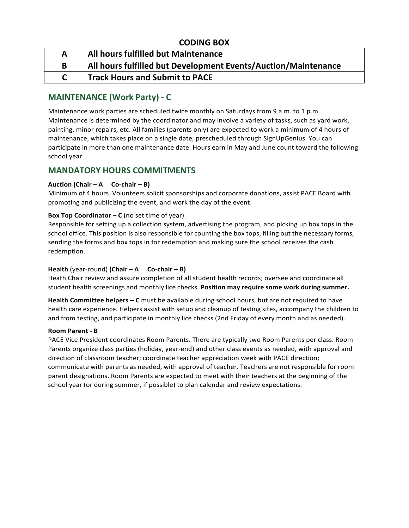| A | All hours fulfilled but Maintenance                            |
|---|----------------------------------------------------------------|
| B | All hours fulfilled but Development Events/Auction/Maintenance |
|   | <b>Track Hours and Submit to PACE</b>                          |

# **MAINTENANCE (Work Party) - C**

Maintenance work parties are scheduled twice monthly on Saturdays from 9 a.m. to 1 p.m. Maintenance is determined by the coordinator and may involve a variety of tasks, such as yard work, painting, minor repairs, etc. All families (parents only) are expected to work a minimum of 4 hours of maintenance, which takes place on a single date, prescheduled through SignUpGenius. You can participate in more than one maintenance date. Hours earn in May and June count toward the following school year.

# **MANDATORY HOURS COMMITMENTS**

# **Auction (Chair – A Co-chair – B)**

Minimum of 4 hours. Volunteers solicit sponsorships and corporate donations, assist PACE Board with promoting and publicizing the event, and work the day of the event.

# **Box Top Coordinator – C** (no set time of year)

Responsible for setting up a collection system, advertising the program, and picking up box tops in the school office. This position is also responsible for counting the box tops, filling out the necessary forms, sending the forms and box tops in for redemption and making sure the school receives the cash redemption.

# **Health** (year-round) **(Chair – A**  $Co$ -chair – B)

Heath Chair review and assure completion of all student health records; oversee and coordinate all student health screenings and monthly lice checks. **Position may require some work during summer.**

Health Committee helpers – C must be available during school hours, but are not required to have health care experience. Helpers assist with setup and cleanup of testing sites, accompany the children to and from testing, and participate in monthly lice checks (2nd Friday of every month and as needed).

# **Room Parent - B**

PACE Vice President coordinates Room Parents. There are typically two Room Parents per class. Room Parents organize class parties (holiday, year-end) and other class events as needed, with approval and direction of classroom teacher; coordinate teacher appreciation week with PACE direction; communicate with parents as needed, with approval of teacher. Teachers are not responsible for room parent designations. Room Parents are expected to meet with their teachers at the beginning of the school year (or during summer, if possible) to plan calendar and review expectations.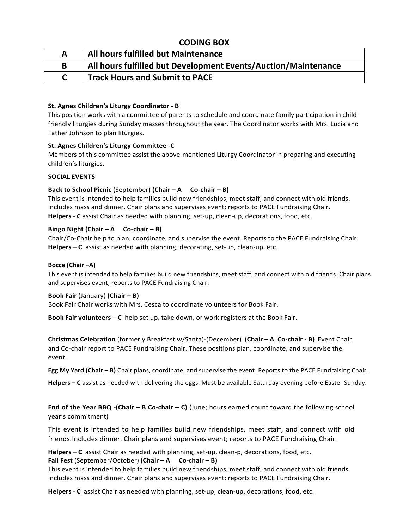| A | All hours fulfilled but Maintenance                            |
|---|----------------------------------------------------------------|
| B | All hours fulfilled but Development Events/Auction/Maintenance |
|   | <b>Track Hours and Submit to PACE</b>                          |

### **St. Agnes Children's Liturgy Coordinator - B**

This position works with a committee of parents to schedule and coordinate family participation in childfriendly liturgies during Sunday masses throughout the year. The Coordinator works with Mrs. Lucia and Father Johnson to plan liturgies.

#### **St. Agnes Children's Liturgy Committee -C**

Members of this committee assist the above-mentioned Liturgy Coordinator in preparing and executing children's liturgies.

#### **SOCIAL EVENTS**

#### **Back to School Picnic** (September) (Chair – A Co-chair – B)

This event is intended to help families build new friendships, meet staff, and connect with old friends. Includes mass and dinner. Chair plans and supervises event; reports to PACE Fundraising Chair. **Helpers** - **C** assist Chair as needed with planning, set-up, clean-up, decorations, food, etc.

#### $\text{Bingo Night}$  (Chair – A  $\text{Co-chain}$  – B)

Chair/Co-Chair help to plan, coordinate, and supervise the event. Reports to the PACE Fundraising Chair. **Helpers – C** assist as needed with planning, decorating, set-up, clean-up, etc.

#### Bocce (Chair –A)

This event is intended to help families build new friendships, meet staff, and connect with old friends. Chair plans and supervises event; reports to PACE Fundraising Chair.

#### **Book Fair** (January) **(Chair – B)**

Book Fair Chair works with Mrs. Cesca to coordinate volunteers for Book Fair.

**Book Fair volunteers** – **C** help set up, take down, or work registers at the Book Fair.

**Christmas Celebration** (formerly Breakfast w/Santa)-(December) **(Chair – A Co-chair - B)** Event Chair and Co-chair report to PACE Fundraising Chair. These positions plan, coordinate, and supervise the event.

**Egg My Yard (Chair – B)** Chair plans, coordinate, and supervise the event. Reports to the PACE Fundraising Chair.

Helpers – C assist as needed with delivering the eggs. Must be available Saturday evening before Easter Sunday.

**End of the Year BBQ -(Chair – B Co-chair – C) (June;** hours earned count toward the following school year's commitment)

This event is intended to help families build new friendships, meet staff, and connect with old friends.Includes dinner. Chair plans and supervises event; reports to PACE Fundraising Chair.

**Helpers – C** assist Chair as needed with planning, set-up, clean-p, decorations, food, etc. **Fall Fest** (September/October) (Chair – A Co-chair – B)

This event is intended to help families build new friendships, meet staff, and connect with old friends. Includes mass and dinner. Chair plans and supervises event; reports to PACE Fundraising Chair.

**Helpers** - **C** assist Chair as needed with planning, set-up, clean-up, decorations, food, etc.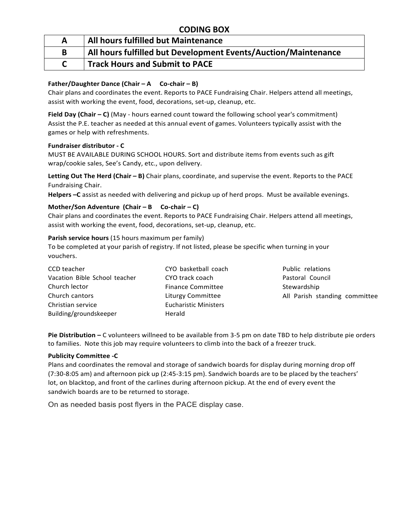| A | All hours fulfilled but Maintenance                            |
|---|----------------------------------------------------------------|
| B | All hours fulfilled but Development Events/Auction/Maintenance |
|   | <b>Track Hours and Submit to PACE</b>                          |

# **Father/Daughter Dance (Chair – A Co-chair – B)**

Chair plans and coordinates the event. Reports to PACE Fundraising Chair. Helpers attend all meetings, assist with working the event, food, decorations, set-up, cleanup, etc.

**Field Day (Chair – C)** (May - hours earned count toward the following school year's commitment) Assist the P.E. teacher as needed at this annual event of games. Volunteers typically assist with the games or help with refreshments.

#### **Fundraiser distributor - C**

MUST BE AVAILABLE DURING SCHOOL HOURS. Sort and distribute items from events such as gift wrap/cookie sales, See's Candy, etc., upon delivery.

**Letting Out The Herd (Chair – B)** Chair plans, coordinate, and supervise the event. Reports to the PACE Fundraising Chair.

**Helpers –C** assist as needed with delivering and pickup up of herd props. Must be available evenings.

# **Mother/Son Adventure (Chair – B** Co-chair – C)

Chair plans and coordinates the event. Reports to PACE Fundraising Chair. Helpers attend all meetings, assist with working the event, food, decorations, set-up, cleanup, etc.

#### **Parish service hours** (15 hours maximum per family)

To be completed at your parish of registry. If not listed, please be specific when turning in your vouchers.

| CCD teacher                   | CYO basketball coach         | Public relations              |
|-------------------------------|------------------------------|-------------------------------|
| Vacation Bible School teacher | CYO track coach              | Pastoral Council              |
| Church lector                 | <b>Finance Committee</b>     | Stewardship                   |
| Church cantors                | Liturgy Committee            | All Parish standing committee |
| Christian service             | <b>Eucharistic Ministers</b> |                               |
| Building/groundskeeper        | Herald                       |                               |
|                               |                              |                               |

**Pie Distribution –** C volunteers willneed to be available from 3-5 pm on date TBD to help distribute pie orders to families. Note this job may require volunteers to climb into the back of a freezer truck.

# **Publicity Committee -C**

Plans and coordinates the removal and storage of sandwich boards for display during morning drop off (7:30-8:05 am) and afternoon pick up (2:45-3:15 pm). Sandwich boards are to be placed by the teachers' lot, on blacktop, and front of the carlines during afternoon pickup. At the end of every event the sandwich boards are to be returned to storage.

On as needed basis post flyers in the PACE display case.